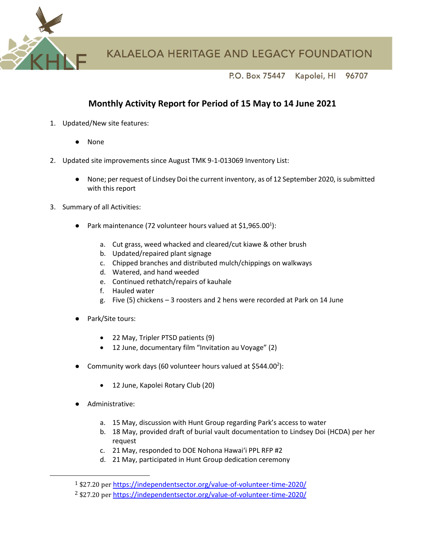**KALAELOA HERITAGE AND LEGACY FOUNDATION** 

P.O. Box 75447 Kapolei, HI 96707

## **Monthly Activity Report for Period of 15 May to 14 June 2021**

- 1. Updated/New site features:
	- None
- 2. Updated site improvements since August TMK 9-1-013069 Inventory List:
	- None; per request of Lindsey Doi the current inventory, as of 12 September 2020, is submitted with this report
- 3. Summary of all Activities:
	- Park maintenance (72 volunteer hours valued at \$1,965.00<sup>1</sup>):
		- a. Cut grass, weed whacked and cleared/cut kiawe & other brush
		- b. Updated/repaired plant signage
		- c. Chipped branches and distributed mulch/chippings on walkways
		- d. Watered, and hand weeded
		- e. Continued rethatch/repairs of kauhale
		- f. Hauled water
		- g. Five (5) chickens 3 roosters and 2 hens were recorded at Park on 14 June
	- Park/Site tours:
		- 22 May, Tripler PTSD patients (9)
		- 12 June, documentary film "Invitation au Voyage" (2)
	- Community work days (60 volunteer hours valued at \$544.00<sup>2</sup>):
		- 12 June, Kapolei Rotary Club (20)
	- Administrative:
		- a. 15 May, discussion with Hunt Group regarding Park's access to water
		- b. 18 May, provided draft of burial vault documentation to Lindsey Doi (HCDA) per her request
		- c. 21 May, responded to DOE Nohona Hawaiʻi PPL RFP #2
		- d. 21 May, participated in Hunt Group dedication ceremony

<sup>1</sup> \$27.20 per <https://independentsector.org/value-of-volunteer-time-2020/>

<sup>2</sup> \$27.20 per <https://independentsector.org/value-of-volunteer-time-2020/>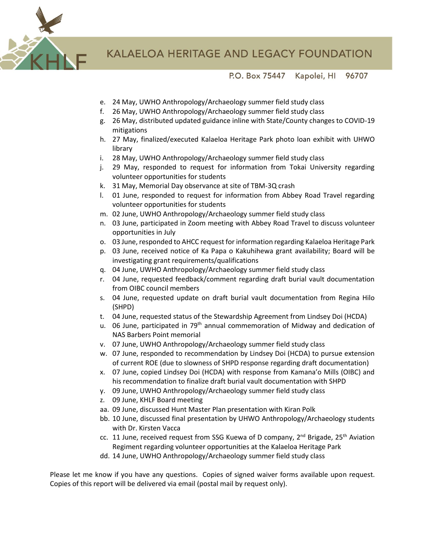

P.O. Box 75447 Kapolei, HI 96707

- e. 24 May, UWHO Anthropology/Archaeology summer field study class
- f. 26 May, UWHO Anthropology/Archaeology summer field study class
- g. 26 May, distributed updated guidance inline with State/County changes to COVID-19 mitigations
- h. 27 May, finalized/executed Kalaeloa Heritage Park photo loan exhibit with UHWO library
- i. 28 May, UWHO Anthropology/Archaeology summer field study class
- j. 29 May, responded to request for information from Tokai University regarding volunteer opportunities for students
- k. 31 May, Memorial Day observance at site of TBM-3Q crash
- l. 01 June, responded to request for information from Abbey Road Travel regarding volunteer opportunities for students
- m. 02 June, UWHO Anthropology/Archaeology summer field study class
- n. 03 June, participated in Zoom meeting with Abbey Road Travel to discuss volunteer opportunities in July
- o. 03 June, responded to AHCC request for information regarding Kalaeloa Heritage Park
- p. 03 June, received notice of Ka Papa o Kakuhihewa grant availability; Board will be investigating grant requirements/qualifications
- q. 04 June, UWHO Anthropology/Archaeology summer field study class
- r. 04 June, requested feedback/comment regarding draft burial vault documentation from OIBC council members
- s. 04 June, requested update on draft burial vault documentation from Regina Hilo (SHPD)
- t. 04 June, requested status of the Stewardship Agreement from Lindsey Doi (HCDA)
- u. 06 June, participated in 79<sup>th</sup> annual commemoration of Midway and dedication of NAS Barbers Point memorial
- v. 07 June, UWHO Anthropology/Archaeology summer field study class
- w. 07 June, responded to recommendation by Lindsey Doi (HCDA) to pursue extension of current ROE (due to slowness of SHPD response regarding draft documentation)
- x. 07 June, copied Lindsey Doi (HCDA) with response from Kamana'o Mills (OIBC) and his recommendation to finalize draft burial vault documentation with SHPD
- y. 09 June, UWHO Anthropology/Archaeology summer field study class
- z. 09 June, KHLF Board meeting
- aa. 09 June, discussed Hunt Master Plan presentation with Kiran Polk
- bb. 10 June, discussed final presentation by UHWO Anthropology/Archaeology students with Dr. Kirsten Vacca
- cc. 11 June, received request from SSG Kuewa of D company, 2<sup>nd</sup> Brigade, 25<sup>th</sup> Aviation Regiment regarding volunteer opportunities at the Kalaeloa Heritage Park
- dd. 14 June, UWHO Anthropology/Archaeology summer field study class

Please let me know if you have any questions. Copies of signed waiver forms available upon request. Copies of this report will be delivered via email (postal mail by request only).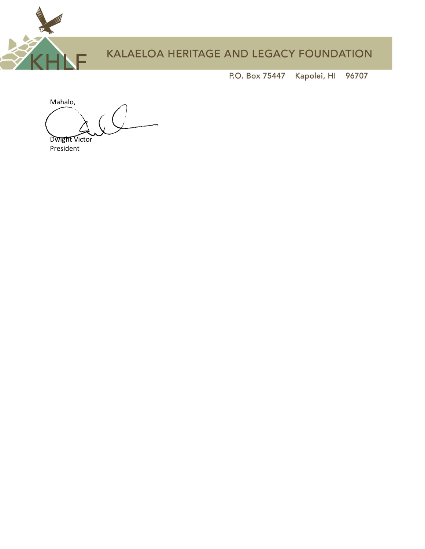

Kapolei, HI P.O. Box 75447 96707

Mahalo, Dwight Victor President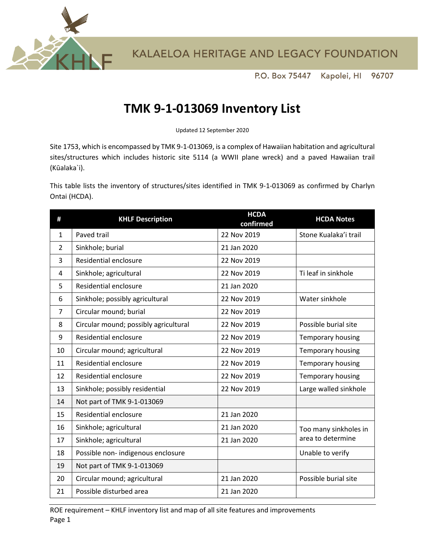

P.O. Box 75447 Kapolei, HI 96707

## **TMK 9-1-013069 Inventory List**

Updated 12 September 2020

Site 1753, which is encompassed by TMK 9-1-013069, is a complex of Hawaiian habitation and agricultural sites/structures which includes historic site 5114 (a WWII plane wreck) and a paved Hawaiian trail (Kūalaka`i).

This table lists the inventory of structures/sites identified in TMK 9-1-013069 as confirmed by Charlyn Ontai (HCDA).

| #              | <b>KHLF Description</b>               | <b>HCDA</b><br>confirmed | <b>HCDA Notes</b>     |
|----------------|---------------------------------------|--------------------------|-----------------------|
| 1              | Paved trail                           | 22 Nov 2019              | Stone Kualaka'i trail |
| $\overline{2}$ | Sinkhole; burial                      | 21 Jan 2020              |                       |
| 3              | Residential enclosure                 | 22 Nov 2019              |                       |
| 4              | Sinkhole; agricultural                | 22 Nov 2019              | Ti leaf in sinkhole   |
| 5              | Residential enclosure                 | 21 Jan 2020              |                       |
| 6              | Sinkhole; possibly agricultural       | 22 Nov 2019              | Water sinkhole        |
| $\overline{7}$ | Circular mound; burial                | 22 Nov 2019              |                       |
| 8              | Circular mound; possibly agricultural | 22 Nov 2019              | Possible burial site  |
| 9              | Residential enclosure                 | 22 Nov 2019              | Temporary housing     |
| 10             | Circular mound; agricultural          | 22 Nov 2019              | Temporary housing     |
| 11             | Residential enclosure                 | 22 Nov 2019              | Temporary housing     |
| 12             | Residential enclosure                 | 22 Nov 2019              | Temporary housing     |
| 13             | Sinkhole; possibly residential        | 22 Nov 2019              | Large walled sinkhole |
| 14             | Not part of TMK 9-1-013069            |                          |                       |
| 15             | Residential enclosure                 | 21 Jan 2020              |                       |
| 16             | Sinkhole; agricultural                | 21 Jan 2020              | Too many sinkholes in |
| 17             | Sinkhole; agricultural                | 21 Jan 2020              | area to determine     |
| 18             | Possible non-indigenous enclosure     |                          | Unable to verify      |
| 19             | Not part of TMK 9-1-013069            |                          |                       |
| 20             | Circular mound; agricultural          | 21 Jan 2020              | Possible burial site  |
| 21             | Possible disturbed area               | 21 Jan 2020              |                       |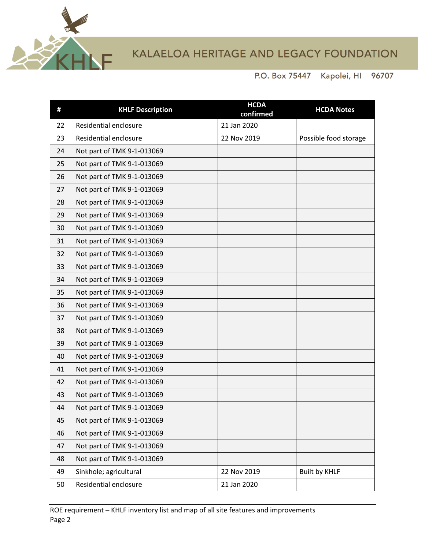

## KALAELOA HERITAGE AND LEGACY FOUNDATION

Kapolei, HI 96707 P.O. Box 75447

| #  | <b>KHLF Description</b>    | <b>HCDA</b><br>confirmed | <b>HCDA Notes</b>     |
|----|----------------------------|--------------------------|-----------------------|
| 22 | Residential enclosure      | 21 Jan 2020              |                       |
| 23 | Residential enclosure      | 22 Nov 2019              | Possible food storage |
| 24 | Not part of TMK 9-1-013069 |                          |                       |
| 25 | Not part of TMK 9-1-013069 |                          |                       |
| 26 | Not part of TMK 9-1-013069 |                          |                       |
| 27 | Not part of TMK 9-1-013069 |                          |                       |
| 28 | Not part of TMK 9-1-013069 |                          |                       |
| 29 | Not part of TMK 9-1-013069 |                          |                       |
| 30 | Not part of TMK 9-1-013069 |                          |                       |
| 31 | Not part of TMK 9-1-013069 |                          |                       |
| 32 | Not part of TMK 9-1-013069 |                          |                       |
| 33 | Not part of TMK 9-1-013069 |                          |                       |
| 34 | Not part of TMK 9-1-013069 |                          |                       |
| 35 | Not part of TMK 9-1-013069 |                          |                       |
| 36 | Not part of TMK 9-1-013069 |                          |                       |
| 37 | Not part of TMK 9-1-013069 |                          |                       |
| 38 | Not part of TMK 9-1-013069 |                          |                       |
| 39 | Not part of TMK 9-1-013069 |                          |                       |
| 40 | Not part of TMK 9-1-013069 |                          |                       |
| 41 | Not part of TMK 9-1-013069 |                          |                       |
| 42 | Not part of TMK 9-1-013069 |                          |                       |
| 43 | Not part of TMK 9-1-013069 |                          |                       |
| 44 | Not part of TMK 9-1-013069 |                          |                       |
| 45 | Not part of TMK 9-1-013069 |                          |                       |
| 46 | Not part of TMK 9-1-013069 |                          |                       |
| 47 | Not part of TMK 9-1-013069 |                          |                       |
| 48 | Not part of TMK 9-1-013069 |                          |                       |
| 49 | Sinkhole; agricultural     | 22 Nov 2019              | <b>Built by KHLF</b>  |
| 50 | Residential enclosure      | 21 Jan 2020              |                       |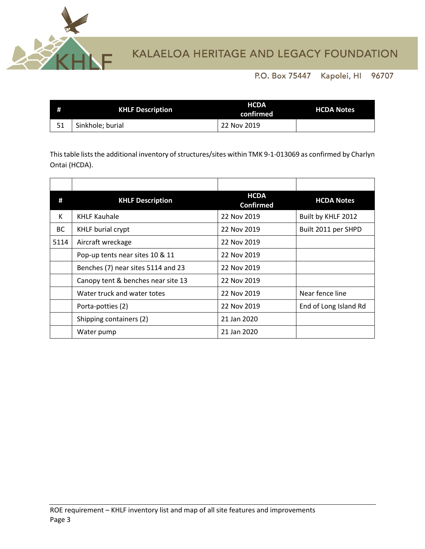

## KALAELOA HERITAGE AND LEGACY FOUNDATION

P.O. Box 75447 Kapolei, HI 96707

| <b>KHLF Description</b> | <b>HCDA</b><br>confirmed | <b>HCDA Notes</b> |
|-------------------------|--------------------------|-------------------|
| Sinkhole; burial        | 22 Nov 2019              |                   |

This table lists the additional inventory of structures/sites within TMK 9-1-013069 as confirmed by Charlyn Ontai (HCDA).

| #         | <b>KHLF Description</b>            | <b>HCDA</b><br><b>Confirmed</b> | <b>HCDA Notes</b>     |
|-----------|------------------------------------|---------------------------------|-----------------------|
| К         | <b>KHLF Kauhale</b>                | 22 Nov 2019                     | Built by KHLF 2012    |
| <b>BC</b> | <b>KHLF burial crypt</b>           | 22 Nov 2019                     | Built 2011 per SHPD   |
| 5114      | Aircraft wreckage                  | 22 Nov 2019                     |                       |
|           | Pop-up tents near sites 10 & 11    | 22 Nov 2019                     |                       |
|           | Benches (7) near sites 5114 and 23 | 22 Nov 2019                     |                       |
|           | Canopy tent & benches near site 13 | 22 Nov 2019                     |                       |
|           | Water truck and water totes        | 22 Nov 2019                     | Near fence line       |
|           | Porta-potties (2)                  | 22 Nov 2019                     | End of Long Island Rd |
|           | Shipping containers (2)            | 21 Jan 2020                     |                       |
|           | Water pump                         | 21 Jan 2020                     |                       |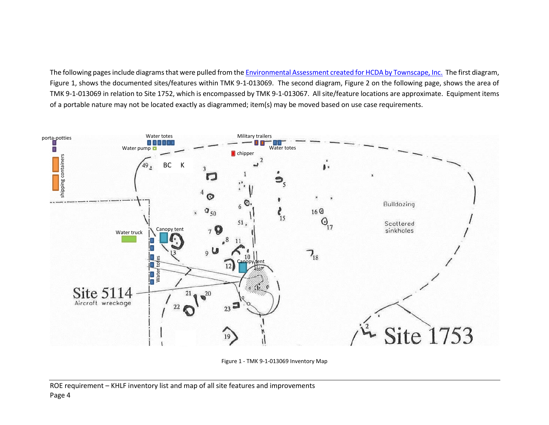The following pages include diagrams that were pulled from th[e Environmental Assessment created for HCDA by Townscape, Inc.](https://www.google.com/url?sa=t&rct=j&q=&esrc=s&source=web&cd=1&cad=rja&uact=8&ved=2ahUKEwiot53vlf_jAhXXtp4KHSh0DcwQFjAAegQIARAC&url=https%3A%2F%2Fdbedt.hawaii.gov%2Fhcda%2Ffiles%2F2014%2F09%2FKHP-Final-EA-w-Appendices_to-OEQC.pdf&usg=AOvVaw1mjMI6hKarUJ2aeVvZxo-X) The first diagram, Figure 1, shows the documented sites/features within TMK 9-1-013069. The second diagram, Figure 2 on the following page, shows the area of TMK 9-1-013069 in relation to Site 1752, which is encompassed by TMK 9-1-013067. All site/feature locations are approximate. Equipment items of a portable nature may not be located exactly as diagrammed; item(s) may be moved based on use case requirements.



Figure 1 - TMK 9-1-013069 Inventory Map